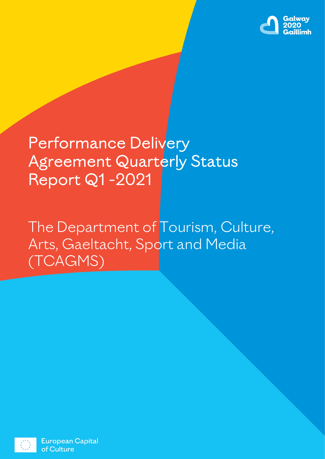

# Performance Delivery Agreement Quarterly Status Report Q1 -2021

The Department of Tourism, Culture, Arts, Gaeltacht, Sport and Media (TCAGMS)



**European Capital** of Culture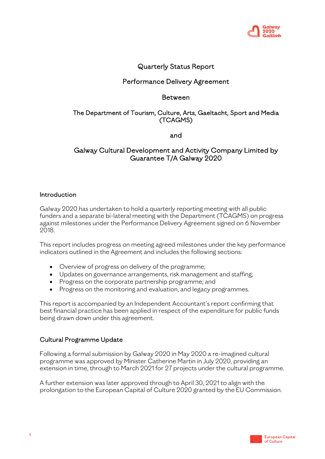

# Quarterly Status Report

# Performance Delivery Agreement

# Between

# The Department of Tourism, Culture, Arts, Gaeltacht, Sport and Media (TCAGMS)

and

# Galway Cultural Development and Activity Company Limited by Guarantee T/A Galway 2020

# **Introduction**

Galway 2020 has undertaken to hold a quarterly reporting meeting with all public funders and a separate bi-lateral meeting with the Department (TCAGMS) on progress against milestones under the Performance Delivery Agreement signed on 6 November 2018.

This report includes progress on meeting agreed milestones under the key performance indicators outlined in the Agreement and includes the following sections:

- Overview of progress on delivery of the programme;
- Updates on governance arrangements, risk management and staffing;
- Progress on the corporate partnership programme; and
- Progress on the monitoring and evaluation, and legacy programmes.

This report is accompanied by an Independent Accountant's report confirming that best financial practice has been applied in respect of the expenditure for public funds being drawn down under this agreement.

# Cultural Programme Update

Following a formal submission by Galway 2020 in May 2020 a re-imagined cultural programme was approved by Minister Catherine Martin in July 2020, providing an extension in time, through to March 2021 for 27 projects under the cultural programme.

A further extension was later approved through to April 30, 2021 to align with the prolongation to the European Capital of Culture 2020 granted by the EU Commission.

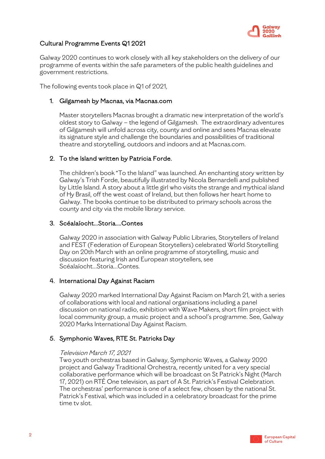

# Cultural Programme Events Q1 2021

Galway 2020 continues to work closely with all key stakeholders on the delivery of our programme of events within the safe parameters of the public health guidelines and government restrictions.

The following events took place in Q1 of 2021,

#### 1. Gilgamesh by Macnas, via Macnas.com

Master storytellers Macnas brought a dramatic new interpretation of the world's oldest story to Galway – the legend of Gilgamesh. The extraordinary adventures of Gilgamesh will unfold across city, county and online and sees Macnas elevate its signature style and challenge the boundaries and possibilities of traditional theatre and storytelling, outdoors and indoors and at Macnas.com.

#### 2. To the Island written by Patricia Forde.

The children's book "To the Island" was launched. An enchanting story written by Galway's Trish Forde, beautifully illustrated by Nicola Bernardelli and published by Little Island. A story about a little girl who visits the strange and mythical island of Hy Brasil, off the west coast of Ireland, but then follows her heart home to Galway. The books continue to be distributed to primary schools across the county and city via the mobile library service.

#### 3. Scéalaíocht…Storia….Contes

Galway 2020 in association with Galway Public Libraries, Storytellers of Ireland and FEST (Federation of European Storytellers) celebrated World Storytelling Day on 20th March with an online programme of storytelling, music and discussion featuring Irish and European storytellers, see Scéalaíocht…Storia…Contes.

#### 4. International Day Against Racism

Galway 2020 marked International Day Against Racism on March 21, with a series of collaborations with local and national organisations including a panel discussion on national radio, exhibition with Wave Makers, short film project with local community group, a music project and a school's programme. See, Galway 2020 Marks International Day Against Racism.

# 5. Symphonic Waves, RTE St. Patricks Day

#### Television March 17, 2021

Two youth orchestras based in Galway, Symphonic Waves, a Galway 2020 project and Galway Traditional Orchestra, recently united for a very special collaborative performance which will be broadcast on St Patrick's Night (March 17, 2021) on RTÉ One television, as part of A St. Patrick's Festival Celebration. The orchestras' performance is one of a select few, chosen by the national St. Patrick's Festival, which was included in a celebratory broadcast for the prime time tv slot.

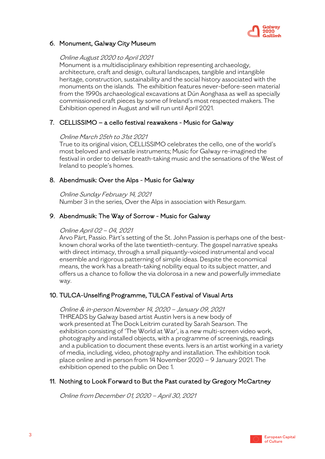

# 6. Monument, Galway City Museum

#### Online August 2020 to April 2021

Monument is a multidisciplinary exhibition representing archaeology, architecture, craft and design, cultural landscapes, tangible and intangible heritage, construction, sustainability and the social history associated with the monuments on the islands. The exhibition features never-before-seen material from the 1990s archaeological excavations at Dún Aonghasa as well as specially commissioned craft pieces by some of Ireland's most respected makers. The Exhibition opened in August and will run until April 2021.

#### 7. CELLISSIMO – a cello festival reawakens - Music for Galway

#### Online March 25th to 31st 2021

True to its original vision, CELLISSIMO celebrates the cello, one of the world's most beloved and versatile instruments; Music for Galway re-imagined the festival in order to deliver breath-taking music and the sensations of the West of Ireland to people's homes.

#### 8. Abendmusik: Over the Alps - Music for Galway

#### Online Sunday February 14, 2021

Number 3 in the series, Over the Alps in association with Resurgam.

# 9. Abendmusik: The Way of Sorrow - Music for Galway

#### Online April 02 – 04, 2021

Arvo Pärt, Passio. Pärt's setting of the St. John Passion is perhaps one of the bestknown choral works of the late twentieth-century. The gospel narrative speaks with direct intimacy, through a small piquantly-voiced instrumental and vocal ensemble and rigorous patterning of simple ideas. Despite the economical means, the work has a breath-taking nobility equal to its subject matter, and offers us a chance to follow the via dolorosa in a new and powerfully immediate way.

#### 10. TULCA-Unselfing Programme, TULCA Festival of Visual Arts

Online & in-person November 14, 2020 – January 09, 2021 THREADS by Galway based artist Austin Ivers is a new body of work presented at The Dock Leitrim curated by Sarah Searson. The exhibition consisting of 'The World at War', is a new multi-screen video work, photography and installed objects, with a programme of screenings, readings and a publication to document these events. Ivers is an artist working in a variety of media, including, video, photography and installation. The exhibition took place online and in person from 14 November 2020 – 9 January 2021. The exhibition opened to the public on Dec 1.

#### 11. Nothing to Look Forward to But the Past curated by Gregory McCartney

Online from December 01, 2020 – April 30, 2021

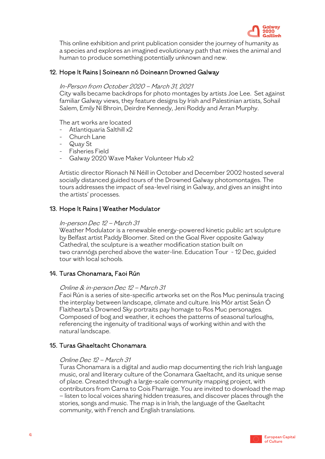

This online exhibition and print publication consider the journey of humanity as a species and explores an imagined evolutionary path that mixes the animal and human to produce something potentially unknown and new.

#### 12. Hope It Rains | Soineann nó Doineann Drowned Galway

#### In-Person from October 2020 – March 31, 2021

City walls became backdrops for photo montages by artists Joe Lee. Set against familiar Galway views, they feature designs by Irish and Palestinian artists, Sohail Salem, Emily Ní Bhroin, Deirdre Kennedy, Jeni Roddy and Arran Murphy.

The art works are located

- Atlantiquaria Salthill x2
- Church Lane
- Quay St
- Fisheries Field
- Galway 2020 Wave Maker Volunteer Hub x2

Artistic director Ríonach Ní Néill in October and December 2002 hosted several socially distanced guided tours of the Drowned Galway photomontages. The tours addresses the impact of sea-level rising in Galway, and gives an insight into the artists' processes.

#### 13. Hope It Rains | Weather Modulator

#### In-person Dec 12 – March 31

Weather Modulator is a renewable energy-powered kinetic public art sculpture by Belfast artist Paddy Bloomer. Sited on the Goal River opposite Galway Cathedral, the sculpture is a weather modification station built on two crannógs perched above the water-line. Education Tour - 12 Dec, guided tour with local schools.

#### 14. Turas Chonamara, Faoi Rún

#### Online & in-person Dec 12 – March 31

Faoi Rún is a series of site-specific artworks set on the Ros Muc peninsula tracing the interplay between landscape, climate and culture. Inis Mór artist Seán Ó Flaithearta's Drowned Sky portraits pay homage to Ros Muc personages. Composed of bog and weather, it echoes the patterns of seasonal turloughs, referencing the ingenuity of traditional ways of working within and with the natural landscape.

#### 15. Turas Ghaeltacht Chonamara

#### Online Dec 12 – March 31

Turas Chonamara is a digital and audio map documenting the rich Irish language music, oral and literary culture of the Conamara Gaeltacht, and its unique sense of place. Created through a large-scale community mapping project, with contributors from Carna to Cois Fharraige. You are invited to download the map – listen to local voices sharing hidden treasures, and discover places through the stories, songs and music. The map is in Irish, the language of the Gaeltacht community, with French and English translations.

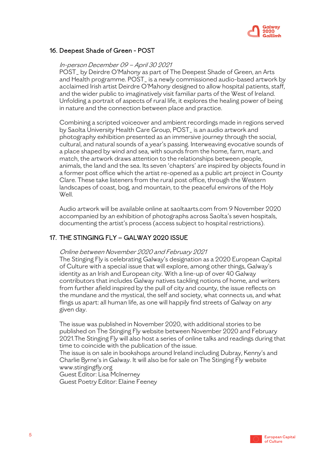

# 16. Deepest Shade of Green - POST

#### In-person December 09 – April 30 2021

POST\_ by Deirdre O'Mahony as part of The Deepest Shade of Green, an Arts and Health programme. POST\_ is a newly commissioned audio-based artwork by acclaimed Irish artist Deirdre O'Mahony designed to allow hospital patients, staff, and the wider public to imaginatively visit familiar parts of the West of Ireland. Unfolding a portrait of aspects of rural life, it explores the healing power of being in nature and the connection between place and practice.

Combining a scripted voiceover and ambient recordings made in regions served by Saolta University Health Care Group, POST\_ is an audio artwork and photography exhibition presented as an immersive journey through the social, cultural, and natural sounds of a year's passing. Interweaving evocative sounds of a place shaped by wind and sea, with sounds from the home, farm, mart, and match, the artwork draws attention to the relationships between people, animals, the land and the sea. Its seven 'chapters' are inspired by objects found in a former post office which the artist re-opened as a public art project in County Clare. These take listeners from the rural post office, through the Western landscapes of coast, bog, and mountain, to the peaceful environs of the Holy Well.

Audio artwork will be available online at saoltaarts.com from 9 November 2020 accompanied by an exhibition of photographs across Saolta's seven hospitals, documenting the artist's process (access subject to hospital restrictions).

# 17. THE STINGING FLY – GALWAY 2020 ISSUE

#### Online between November 2020 and February 2021

The Stinging Fly is celebrating Galway's designation as a 2020 European Capital of Culture with a special issue that will explore, among other things, Galway's identity as an Irish and European city. With a line-up of over 40 Galway contributors that includes Galway natives tackling notions of home, and writers from further afield inspired by the pull of city and county, the issue reflects on the mundane and the mystical, the self and society, what connects us, and what flings us apart: all human life, as one will happily find streets of Galway on any given day.

The issue was published in November 2020, with additional stories to be published on The Stinging Fly website between November 2020 and February 2021.The Stinging Fly will also host a series of online talks and readings during that time to coincide with the publication of the issue.

The issue is on sale in bookshops around Ireland including Dubray, Kenny's and Charlie Byrne's in Galway. It will also be for sale on The Stinging Fly website www.stingingfly.org

Guest Editor: Lisa McInerney Guest Poetry Editor: Elaine Feeney

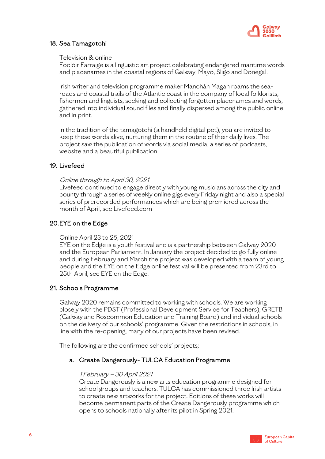

# 18. Sea Tamagotchi

#### Television & online

Foclóir Farraige is a linguistic art project celebrating endangered maritime words and placenames in the coastal regions of Galway, Mayo, Sligo and Donegal.

Irish writer and television programme maker Manchán Magan roams the searoads and coastal trails of the Atlantic coast in the company of local folklorists, fishermen and linguists, seeking and collecting forgotten placenames and words, gathered into individual sound files and finally dispersed among the public online and in print.

In the tradition of the tamagotchi (a handheld digital pet), you are invited to keep these words alive, nurturing them in the routine of their daily lives. The project saw the publication of words via social media, a series of podcasts, website and a beautiful publication

# 19. Livefeed

#### Online through to April 30, 2021

Livefeed continued to engage directly with young musicians across the city and county through a series of weekly online gigs every Friday night and also a special series of prerecorded performances which are being premiered across the month of April, see Livefeed.com

# 20.EYE on the Edge

Online April 23 to 25, 2021

EYE on the Edge is a youth festival and is a partnership between Galway 2020 and the European Parliament. In January the project decided to go fully online and during February and March the project was developed with a team of young people and the EYE on the Edge online festival will be presented from 23rd to 25th April, see EYE on the Edge.

# 21. Schools Programme

Galway 2020 remains committed to working with schools. We are working closely with the PDST (Professional Development Service for Teachers), GRETB (Galway and Roscommon Education and Training Board) and individual schools on the delivery of our schools' programme. Given the restrictions in schools, in line with the re-opening, many of our projects have been revised.

The following are the confirmed schools' projects;

# a. Create Dangerously- TULCA Education Programme

#### 1 February – 30 April 2021

Create Dangerously is a new arts education programme designed for school groups and teachers. TULCA has commissioned three Irish artists to create new artworks for the project. Editions of these works will become permanent parts of the Create Dangerously programme which opens to schools nationally after its pilot in Spring 2021.

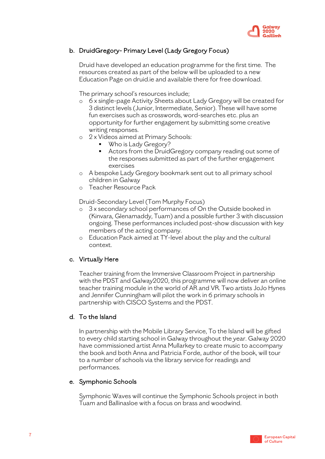

# b. DruidGregory- Primary Level (Lady Gregory Focus)

Druid have developed an education programme for the first time. The resources created as part of the below will be uploaded to a new Education Page on druid.ie and available there for free download.

The primary school's resources include;

- o 6 x single-page Activity Sheets about Lady Gregory will be created for 3 distinct levels (Junior, Intermediate, Senior). These will have some fun exercises such as crosswords, word-searches etc. plus an opportunity for further engagement by submitting some creative writing responses.
- o 2 x Videos aimed at Primary Schools:
	- Who is Lady Gregory?
	- Actors from the DruidGregory company reading out some of the responses submitted as part of the further engagement exercises
- o A bespoke Lady Gregory bookmark sent out to all primary school children in Galway
- o Teacher Resource Pack

Druid-Secondary Level (Tom Murphy Focus)

- o 3 x secondary school performances of On the Outside booked in (Kinvara, Glenamaddy, Tuam) and a possible further 3 with discussion ongoing. These performances included post-show discussion with key members of the acting company.
- o Education Pack aimed at TY-level about the play and the cultural context.

#### c. Virtually Here

Teacher training from the Immersive Classroom Project in partnership with the PDST and Galway2020, this programme will now deliver an online teacher training module in the world of AR and VR. Two artists JoJo Hynes and Jennifer Cunningham will pilot the work in 6 primary schools in partnership with CISCO Systems and the PDST.

#### d. To the Island

In partnership with the Mobile Library Service, To the Island will be gifted to every child starting school in Galway throughout the year. Galway 2020 have commissioned artist Anna Mullarkey to create music to accompany the book and both Anna and Patricia Forde, author of the book, will tour to a number of schools via the library service for readings and performances.

# e. Symphonic Schools

Symphonic Waves will continue the Symphonic Schools project in both Tuam and Ballinasloe with a focus on brass and woodwind.

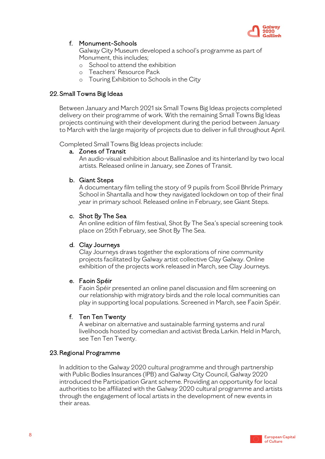

# f. Monument-Schools

Galway City Museum developed a school's programme as part of Monument, this includes;

- o School to attend the exhibition
- o Teachers' Resource Pack
- o Touring Exhibition to Schools in the City

#### 22. Small Towns Big Ideas

Between January and March 2021 six Small Towns Big Ideas projects completed delivery on their programme of work. With the remaining Small Towns Big Ideas projects continuing with their development during the period between January to March with the large majority of projects due to deliver in full throughout April.

Completed Small Towns Big Ideas projects include:

#### a. Zones of Transit

An audio-visual exhibition about Ballinasloe and its hinterland by two local artists. Released online in January, see Zones of Transit.

#### b. Giant Steps

A documentary film telling the story of 9 pupils from Scoil Bhríde Primary School in Shantalla and how they navigated lockdown on top of their final year in primary school. Released online in February, see Giant Steps.

#### c. Shot By The Sea

An online edition of film festival, Shot By The Sea's special screening took place on 25th February, see Shot By The Sea.

#### d. Clay Journeys

Clay Journeys draws together the explorations of nine community projects facilitated by Galway artist collective Clay Galway. Online exhibition of the projects work released in March, see Clay Journeys.

#### e. Faoin Spéir

Faoin Spéir presented an online panel discussion and film screening on our relationship with migratory birds and the role local communities can play in supporting local populations. Screened in March, see Faoin Spéir.

#### f. Ten Ten Twenty

A webinar on alternative and sustainable farming systems and rural livelihoods hosted by comedian and activist Breda Larkin. Held in March, see Ten Ten Twenty.

#### 23. Regional Programme

In addition to the Galway 2020 cultural programme and through partnership with Public Bodies Insurances (IPB) and Galway City Council, Galway 2020 introduced the Participation Grant scheme. Providing an opportunity for local authorities to be affiliated with the Galway 2020 cultural programme and artists through the engagement of local artists in the development of new events in their areas.

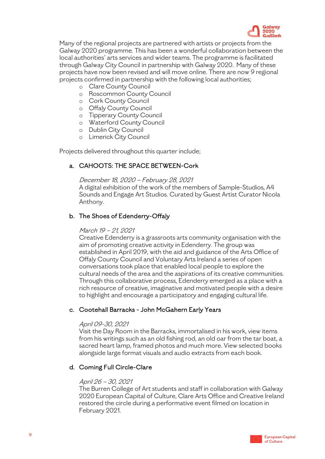

Many of the regional projects are partnered with artists or projects from the Galway 2020 programme. This has been a wonderful collaboration between the local authorities' arts services and wider teams. The programme is facilitated through Galway City Council in partnership with Galway 2020. Many of these projects have now been revised and will move online. There are now 9 regional projects confirmed in partnership with the following local authorities;

- o Clare County Council
- o Roscommon County Council
- o Cork County Council
- o Offaly County Council
- o Tipperary County Council
- o Waterford County Council
- o Dublin City Council
- o Limerick City Council

Projects delivered throughout this quarter include;

# a. CAHOOTS: THE SPACE BETWEEN-Cork

#### December 18, 2020 – February 28, 2021

A digital exhibition of the work of the members of Sample-Studios, A4 Sounds and Engage Art Studios. Curated by Guest Artist Curator Nicola Anthony.

# b. The Shoes of Edenderry-Offaly

#### March 19 – 21, 2021

Creative Edenderry is a grassroots arts community organisation with the aim of promoting creative activity in Edenderry. The group was established in April 2019, with the aid and guidance of the Arts Office of Offaly County Council and Voluntary Arts Ireland a series of open conversations took place that enabled local people to explore the cultural needs of the area and the aspirations of its creative communities. Through this collaborative process, Edenderry emerged as a place with a rich resource of creative, imaginative and motivated people with a desire to highlight and encourage a participatory and engaging cultural life.

#### c. Cootehall Barracks - John McGahern Early Years

#### April 09-30, 2021

Visit the Day Room in the Barracks, immortalised in his work, view items from his writings such as an old fishing rod, an old oar from the tar boat, a sacred heart lamp, framed photos and much more. View selected books alongside large format visuals and audio extracts from each book.

#### d. Coming Full Circle-Clare

#### April 26 – 30, 2021

The Burren College of Art students and staff in collaboration with Galway 2020 European Capital of Culture, Clare Arts Office and Creative Ireland restored the circle during a performative event filmed on location in February 2021.

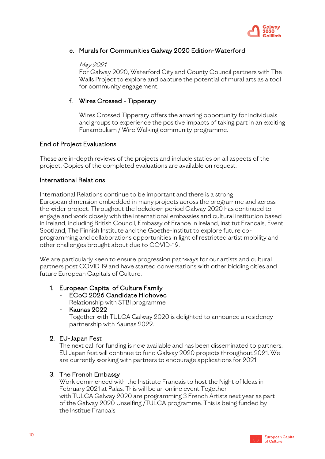

# e. Murals for Communities Galway 2020 Edition-Waterford

#### May 2021

For Galway 2020, Waterford City and County Council partners with The Walls Project to explore and capture the potential of mural arts as a tool for community engagement.

# f. Wires Crossed - Tipperary

Wires Crossed Tipperary offers the amazing opportunity for individuals and groups to experience the positive impacts of taking part in an exciting Funambulism / Wire Walking community programme.

#### End of Project Evaluations

These are in-depth reviews of the projects and include statics on all aspects of the project. Copies of the completed evaluations are available on request.

#### International Relations

International Relations continue to be important and there is a strong European dimension embedded in many projects across the programme and across the wider project. Throughout the lockdown period Galway 2020 has continued to engage and work closely with the international embassies and cultural institution based in Ireland, including British Council, Embassy of France in Ireland, Institut Francais, Event Scotland, The Finnish Institute and the Goethe-Institut to explore future coprogramming and collaborations opportunities in light of restricted artist mobility and other challenges brought about due to COVID-19. 

We are particularly keen to ensure progression pathways for our artists and cultural partners post COVID 19 and have started conversations with other bidding cities and future European Capitals of Culture.

#### 1. European Capital of Culture Family

- ECoC 2026 Candidate Hlohovec Relationship with STBI programme
	- Kaunas 2022

Together with TULCA Galway 2020 is delighted to announce a residency partnership with Kaunas 2022.

#### 2. EU-Japan Fest

The next call for funding is now available and has been disseminated to partners. EU Japan fest will continue to fund Galway 2020 projects throughout 2021. We are currently working with partners to encourage applications for 2021

#### 3. The French Embassy

Work commenced with the Institute Francais to host the Night of Ideas in February 2021 at Palas. This will be an online event Together with TULCA Galway 2020 are programming 3 French Artists next year as part of the Galway 2020 Unselfing /TULCA programme. This is being funded by the Institue Francais

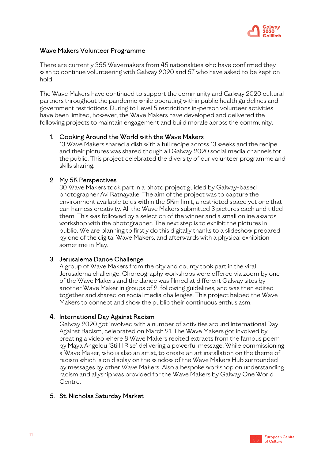

#### Wave Makers Volunteer Programme

There are currently 355 Wavemakers from 45 nationalities who have confirmed they wish to continue volunteering with Galway 2020 and 57 who have asked to be kept on hold.

The Wave Makers have continued to support the community and Galway 2020 cultural partners throughout the pandemic while operating within public health guidelines and government restrictions. During to Level 5 restrictions in-person volunteer activities have been limited, however, the Wave Makers have developed and delivered the following projects to maintain engagement and build morale across the community.

#### 1. Cooking Around the World with the Wave Makers

13 Wave Makers shared a dish with a full recipe across 13 weeks and the recipe and their pictures was shared though all Galway 2020 social media channels for the public. This project celebrated the diversity of our volunteer programme and skills sharing.

#### 2. My 5K Perspectives

30 Wave Makers took part in a photo project guided by Galway-based photographer Avi Ratnayake. The aim of the project was to capture the environment available to us within the 5Km limit, a restricted space yet one that can harness creativity. All the Wave Makers submitted 3 pictures each and titled them. This was followed by a selection of the winner and a small online awards workshop with the photographer. The next step is to exhibit the pictures in public. We are planning to firstly do this digitally thanks to a slideshow prepared by one of the digital Wave Makers, and afterwards with a physical exhibition sometime in May.

#### 3. Jerusalema Dance Challenge

A group of Wave Makers from the city and county took part in the viral Jerusalema challenge. Choreography workshops were offered via zoom by one of the Wave Makers and the dance was filmed at different Galway sites by another Wave Maker in groups of 2, following guidelines, and was then edited together and shared on social media challenges. This project helped the Wave Makers to connect and show the public their continuous enthusiasm.

#### 4. International Day Against Racism

Galway 2020 got involved with a number of activities around International Day Against Racism, celebrated on March 21. The Wave Makers got involved by creating a video where 8 Wave Makers recited extracts from the famous poem by Maya Angelou 'Still I Rise' delivering a powerful message. While commissioning a Wave Maker, who is also an artist, to create an art installation on the theme of racism which is on display on the window of the Wave Makers Hub surrounded by messages by other Wave Makers. Also a bespoke workshop on understanding racism and allyship was provided for the Wave Makers by Galway One World Centre.

#### 5. St. Nicholas Saturday Market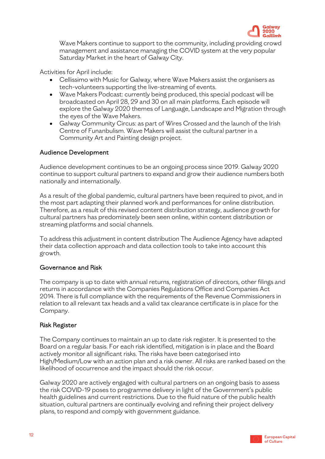

Wave Makers continue to support to the community, including providing crowd management and assistance managing the COVID system at the very popular Saturday Market in the heart of Galway City.

Activities for April include:

- Cellissimo with Music for Galway, where Wave Makers assist the organisers as tech-volunteers supporting the live-streaming of events.
- Wave Makers Podcast: currently being produced, this special podcast will be broadcasted on April 28, 29 and 30 on all main platforms. Each episode will explore the Galway 2020 themes of Language, Landscape and Migration through the eyes of the Wave Makers.
- Galway Community Circus: as part of Wires Crossed and the launch of the Irish Centre of Funanbulism. Wave Makers will assist the cultural partner in a Community Art and Painting design project.

#### Audience Development

Audience development continues to be an ongoing process since 2019. Galway 2020 continue to support cultural partners to expand and grow their audience numbers both nationally and internationally.

As a result of the global pandemic, cultural partners have been required to pivot, and in the most part adapting their planned work and performances for online distribution. Therefore, as a result of this revised content distribution strategy, audience growth for cultural partners has predominately been seen online, within content distribution or streaming platforms and social channels.

To address this adjustment in content distribution The Audience Agency have adapted their data collection approach and data collection tools to take into account this growth.

#### Governance and Risk

The company is up to date with annual returns, registration of directors, other filings and returns in accordance with the Companies Regulations Office and Companies Act 2014. There is full compliance with the requirements of the Revenue Commissioners in relation to all relevant tax heads and a valid tax clearance certificate is in place for the Company.

#### Risk Register

The Company continues to maintain an up to date risk register. It is presented to the Board on a regular basis. For each risk identified, mitigation is in place and the Board actively monitor all significant risks. The risks have been categorised into High/Medium/Low with an action plan and a risk owner. All risks are ranked based on the likelihood of occurrence and the impact should the risk occur.

Galway 2020 are actively engaged with cultural partners on an ongoing basis to assess the risk COVID-19 poses to programme delivery in light of the Government's public health guidelines and current restrictions. Due to the fluid nature of the public health situation, cultural partners are continually evolving and refining their project delivery plans, to respond and comply with government guidance.

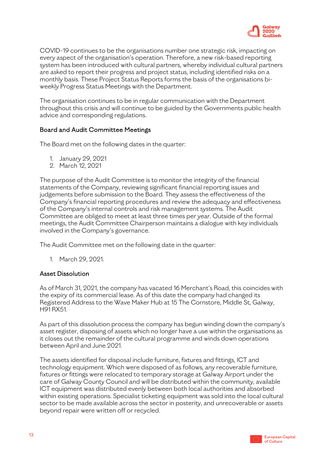

COVID-19 continues to be the organisations number one strategic risk, impacting on every aspect of the organisation's operation. Therefore, a new risk-based reporting system has been introduced with cultural partners, whereby individual cultural partners are asked to report their progress and project status, including identified risks on a monthly basis. These Project Status Reports forms the basis of the organisations biweekly Progress Status Meetings with the Department.

The organisation continues to be in regular communication with the Department throughout this crisis and will continue to be guided by the Governments public health advice and corresponding regulations.

#### Board and Audit Committee Meetings

The Board met on the following dates in the quarter:

- 1. January 29, 2021
- 2. March 12, 2021

The purpose of the Audit Committee is to monitor the integrity of the financial statements of the Company, reviewing significant financial reporting issues and judgements before submission to the Board. They assess the effectiveness of the Company's financial reporting procedures and review the adequacy and effectiveness of the Company's internal controls and risk management systems. The Audit Committee are obliged to meet at least three times per year. Outside of the formal meetings, the Audit Committee Chairperson maintains a dialogue with key individuals involved in the Company's governance.

The Audit Committee met on the following date in the quarter:

1. March 29, 2021.

#### Asset Dissolution

As of March 31, 2021, the company has vacated 16 Merchant's Road, this coincides with the expiry of its commercial lease. As of this date the company had changed its Registered Address to the Wave Maker Hub at 15 The Cornstore, Middle St, Galway, H91 RX51.

As part of this dissolution process the company has begun winding down the company's asset register, disposing of assets which no longer have a use within the organisations as it closes out the remainder of the cultural programme and winds down operations between April and June 2021.

The assets identified for disposal include furniture, fixtures and fittings, ICT and technology equipment. Which were disposed of as follows, any recoverable furniture, fixtures or fittings were relocated to temporary storage at Galway Airport under the care of Galway County Council and will be distributed within the community, available ICT equipment was distributed evenly between both local authorities and absorbed within existing operations. Specialist ticketing equipment was sold into the local cultural sector to be made available across the sector in posterity, and unrecoverable or assets beyond repair were written off or recycled.

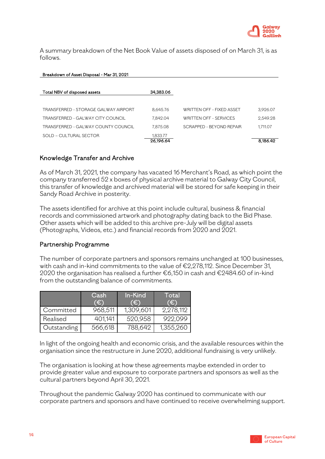

A summary breakdown of the Net Book Value of assets disposed of on March 31, is as follows.

# Breakdown of Asset Disposal - Mar 31, 2021 Total NBV of disposed assets 34,383.06 TRANSFERRED - STORAGE GALWAY AIRPORT 8,645.76 WRITTEN OFF - FIXED ASSET 3,926.07 TRANSFERRED - GALWAY CITY COUNCIL  $7.842.04$  WRITTEN OFF - SERVICES 2,549.28 TRANSFERRED - GALWAY COUNTY COUNCIL 7,875.08 SCRAPPED - BEYOND REPAIR 1,711.07 SOLD – CULTURAL SECTOR 1,833.77 26,196.64 8,186.42

#### Knowledge Transfer and Archive

As of March 31, 2021, the company has vacated 16 Merchant's Road, as which point the company transferred 52 x boxes of physical archive material to Galway City Council, this transfer of knowledge and archived material will be stored for safe keeping in their Sandy Road Archive in posterity.

The assets identified for archive at this point include cultural, business & financial records and commissioned artwork and photography dating back to the Bid Phase. Other assets which will be added to this archive pre-July will be digital assets (Photographs, Videos, etc.) and financial records from 2020 and 2021.

#### Partnership Programme

The number of corporate partners and sponsors remains unchanged at 100 businesses, with cash and in-kind commitments to the value of €2,278,112. Since December 31, 2020 the organisation has realised a further €6,150 in cash and €2484.60 of in-kind from the outstanding balance of commitments.

|             | Cash<br>ſ€ì | In-Kind<br>IÐ. | Total<br>Έ |
|-------------|-------------|----------------|------------|
| Committed   | 968,511     | 1,309,601      | 2,278,112  |
| Realised    | 401,141     | 520,958        | 922,099    |
| Outstanding | 566,618     | 788,642        | 1,355,260  |

In light of the ongoing health and economic crisis, and the available resources within the organisation since the restructure in June 2020, additional fundraising is very unlikely.

The organisation is looking at how these agreements maybe extended in order to provide greater value and exposure to corporate partners and sponsors as well as the cultural partners beyond April 30, 2021.

Throughout the pandemic Galway 2020 has continued to communicate with our corporate partners and sponsors and have continued to receive overwhelming support.

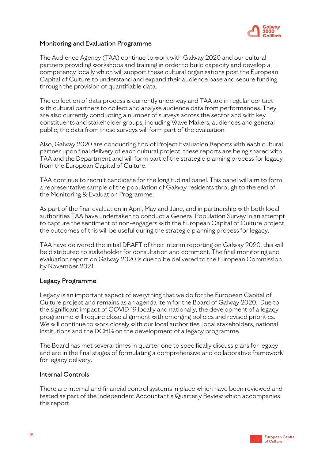

# Monitoring and Evaluation Programme

The Audience Agency (TAA) continue to work with Galway 2020 and our cultural partners providing workshops and training in order to build capacity and develop a competency locally which will support these cultural organisations post the European Capital of Culture to understand and expand their audience base and secure funding through the provision of quantifiable data.

The collection of data process is currently underway and TAA are in regular contact with cultural partners to collect and analyse audience data from performances. They are also currently conducting a number of surveys across the sector and with key constituents and stakeholder groups, including Wave Makers, audiences and general public, the data from these surveys will form part of the evaluation.

Also, Galway 2020 are conducting End of Project Evaluation Reports with each cultural partner upon final delivery of each cultural project, these reports are being shared with TAA and the Department and will form part of the strategic planning process for legacy from the European Capital of Culture.

TAA continue to recruit candidate for the longitudinal panel. This panel will aim to form a representative sample of the population of Galway residents through to the end of the Monitoring & Evaluation Programme.

As part of the final evaluation in April, May and June, and in partnership with both local authorities TAA have undertaken to conduct a General Population Survey in an attempt to capture the sentiment of non-engagers with the European Capital of Culture project, the outcomes of this will be useful during the strategic planning process for legacy.

TAA have delivered the initial DRAFT of their interim reporting on Galway 2020, this will be distributed to stakeholder for consultation and comment. The final monitoring and evaluation report on Galway 2020 is due to be delivered to the European Commission by November 2021.

#### Legacy Programme

Legacy is an important aspect of everything that we do for the European Capital of Culture project and remains as an agenda item for the Board of Galway 2020. Due to the significant impact of COVID 19 locally and nationally, the development of a legacy programme will require close alignment with emerging policies and revised priorities. We will continue to work closely with our local authorities, local stakeholders, national institutions and the DCHG on the development of a legacy programme.

The Board has met several times in quarter one to specifically discuss plans for legacy and are in the final stages of formulating a comprehensive and collaborative framework for legacy delivery.

#### Internal Controls

There are internal and financial control systems in place which have been reviewed and tested as part of the Independent Accountant's Quarterly Review which accompanies this report.

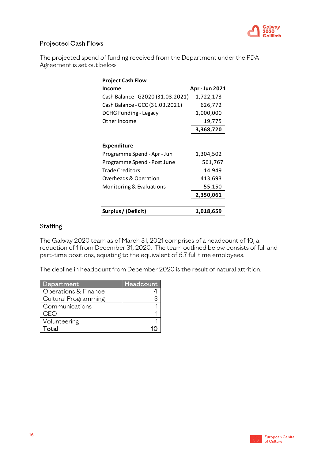

# Projected Cash Flows

The projected spend of funding received from the Department under the PDA Agreement is set out below.

| <b>Project Cash Flow</b>          |                |
|-----------------------------------|----------------|
| Income                            | Apr - Jun 2021 |
| Cash Balance - G2020 (31.03.2021) | 1,722,173      |
| Cash Balance - GCC (31.03.2021)   | 626,772        |
| <b>DCHG Funding - Legacy</b>      | 1,000,000      |
| Other Income                      | 19,775         |
|                                   | 3,368,720      |
|                                   |                |
| Expenditure                       |                |
| Programme Spend - Apr - Jun       | 1,304,502      |
| Programme Spend - Post June       | 561,767        |
| <b>Trade Creditors</b>            | 14,949         |
| Overheads & Operation             | 413,693        |
| Monitoring & Evaluations          | 55,150         |
|                                   | 2,350,061      |
|                                   |                |
| Surplus / (Deficit)               | 1,018,659      |

# **Staffing**

The Galway 2020 team as of March 31, 2021 comprises of a headcount of 10, a reduction of 1 from December 31, 2020. The team outlined below consists of full and part-time positions, equating to the equivalent of 6.7 full time employees.

The decline in headcount from December 2020 is the result of natural attrition.

| Department           | Headcount |
|----------------------|-----------|
| Operations & Finance |           |
| Cultural Programming |           |
| Communications       |           |
| CFO                  |           |
| Volunteering         |           |
| ∩tal                 |           |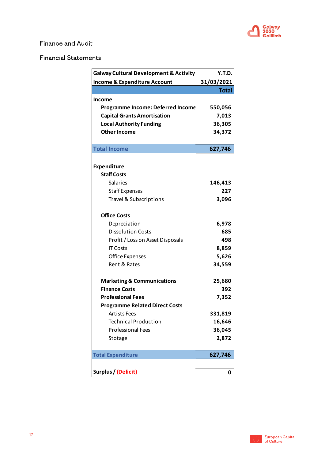

# Finance and Audit

# Financial Statements

| <b>Galway Cultural Development &amp; Activity</b> | Y.T.D.       |
|---------------------------------------------------|--------------|
| <b>Income &amp; Expenditure Account</b>           | 31/03/2021   |
|                                                   | <b>Total</b> |
| Income                                            |              |
| <b>Programme Income: Deferred Income</b>          | 550,056      |
| <b>Capital Grants Amortisation</b>                | 7,013        |
| <b>Local Authority Funding</b>                    | 36,305       |
| <b>Other Income</b>                               | 34,372       |
|                                                   |              |
| <b>Total Income</b>                               | 627,746      |
| Expenditure                                       |              |
| <b>Staff Costs</b>                                |              |
| Salaries                                          | 146,413      |
| <b>Staff Expenses</b>                             | 227          |
| Travel & Subscriptions                            | 3,096        |
|                                                   |              |
| <b>Office Costs</b>                               |              |
| Depreciation                                      | 6,978        |
| <b>Dissolution Costs</b>                          | 685          |
| Profit / Loss on Asset Disposals                  | 498          |
| <b>IT Costs</b>                                   | 8,859        |
| Office Expenses                                   | 5,626        |
| Rent & Rates                                      | 34,559       |
| <b>Marketing &amp; Communications</b>             | 25,680       |
| <b>Finance Costs</b>                              | 392          |
| <b>Professional Fees</b>                          | 7,352        |
| <b>Programme Related Direct Costs</b>             |              |
| <b>Artists Fees</b>                               | 331,819      |
| <b>Technical Production</b>                       | 16,646       |
| <b>Professional Fees</b>                          | 36,045       |
| Stotage                                           | 2,872        |
|                                                   |              |
| <b>Total Expenditure</b>                          | 627,746      |
|                                                   |              |
| Surplus / (Deficit)                               | 0            |